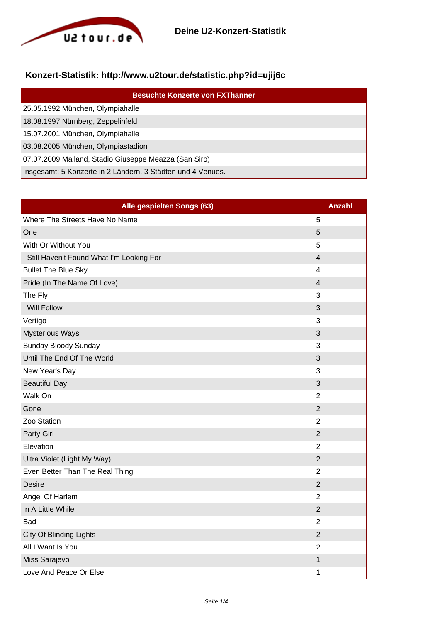

## **Konzert-Statistik: http://www.u2tour.de/statistic.php?id=ujij6c**

| <b>Besuchte Konzerte von FXThanner</b>                      |
|-------------------------------------------------------------|
| 25.05.1992 München, Olympiahalle                            |
| 18.08.1997 Nürnberg, Zeppelinfeld                           |
| 15.07.2001 München, Olympiahalle                            |
| 03.08.2005 München, Olympiastadion                          |
| 07.07.2009 Mailand, Stadio Giuseppe Meazza (San Siro)       |
| Insgesamt: 5 Konzerte in 2 Ländern, 3 Städten und 4 Venues. |

| Alle gespielten Songs (63)                 | <b>Anzahl</b>           |
|--------------------------------------------|-------------------------|
| Where The Streets Have No Name             | 5                       |
| One                                        | 5                       |
| With Or Without You                        | 5                       |
| I Still Haven't Found What I'm Looking For | $\overline{\mathbf{4}}$ |
| <b>Bullet The Blue Sky</b>                 | $\overline{4}$          |
| Pride (In The Name Of Love)                | $\overline{4}$          |
| The Fly                                    | 3                       |
| I Will Follow                              | 3                       |
| Vertigo                                    | 3                       |
| <b>Mysterious Ways</b>                     | 3                       |
| Sunday Bloody Sunday                       | 3                       |
| Until The End Of The World                 | 3                       |
| New Year's Day                             | 3                       |
| <b>Beautiful Day</b>                       | 3                       |
| Walk On                                    | $\overline{2}$          |
| Gone                                       | $\overline{2}$          |
| Zoo Station                                | $\overline{2}$          |
| <b>Party Girl</b>                          | $\overline{2}$          |
| Elevation                                  | $\overline{2}$          |
| Ultra Violet (Light My Way)                | $\overline{2}$          |
| Even Better Than The Real Thing            | $\overline{2}$          |
| <b>Desire</b>                              | $\overline{2}$          |
| Angel Of Harlem                            | $\overline{2}$          |
| In A Little While                          | $\overline{2}$          |
| <b>Bad</b>                                 | $\overline{2}$          |
| City Of Blinding Lights                    | $\overline{2}$          |
| All I Want Is You                          | $\overline{2}$          |
| Miss Sarajevo                              | $\mathbf 1$             |
| Love And Peace Or Else                     | 1                       |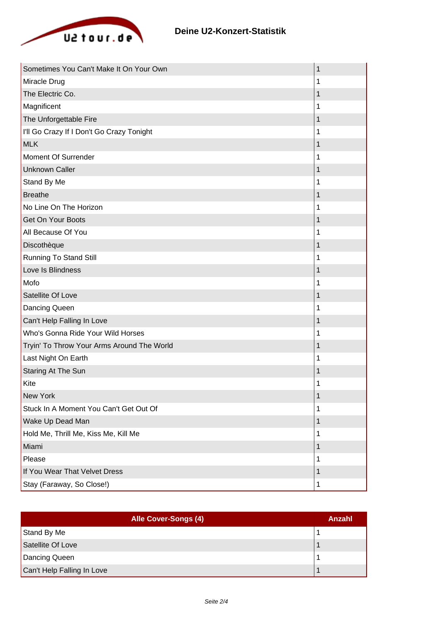

| Sometimes You Can't Make It On Your Own    | 1 |
|--------------------------------------------|---|
| Miracle Drug                               | 1 |
| The Electric Co.                           | 1 |
| Magnificent                                | 1 |
| The Unforgettable Fire                     | 1 |
| I'll Go Crazy If I Don't Go Crazy Tonight  | 1 |
| <b>MLK</b>                                 | 1 |
| Moment Of Surrender                        | 1 |
| <b>Unknown Caller</b>                      | 1 |
| Stand By Me                                | 1 |
| <b>Breathe</b>                             | 1 |
| No Line On The Horizon                     |   |
| Get On Your Boots                          | 1 |
| All Because Of You                         | 1 |
| Discothèque                                |   |
| <b>Running To Stand Still</b>              | 1 |
| Love Is Blindness                          | 1 |
| Mofo                                       | 1 |
| Satellite Of Love                          | 1 |
| Dancing Queen                              | 1 |
| Can't Help Falling In Love                 | 1 |
| Who's Gonna Ride Your Wild Horses          | 1 |
| Tryin' To Throw Your Arms Around The World | 1 |
| Last Night On Earth                        |   |
| Staring At The Sun                         | 1 |
| Kite                                       |   |
| New York                                   | 1 |
| Stuck In A Moment You Can't Get Out Of     | 1 |
| Wake Up Dead Man                           | 1 |
| Hold Me, Thrill Me, Kiss Me, Kill Me       | 1 |
| Miami                                      | 1 |
| Please                                     | 1 |
| If You Wear That Velvet Dress              | 1 |
| Stay (Faraway, So Close!)                  | 1 |

| Alle Cover-Songs (4)       | Anzahl |
|----------------------------|--------|
| Stand By Me                |        |
| Satellite Of Love          |        |
| Dancing Queen              |        |
| Can't Help Falling In Love |        |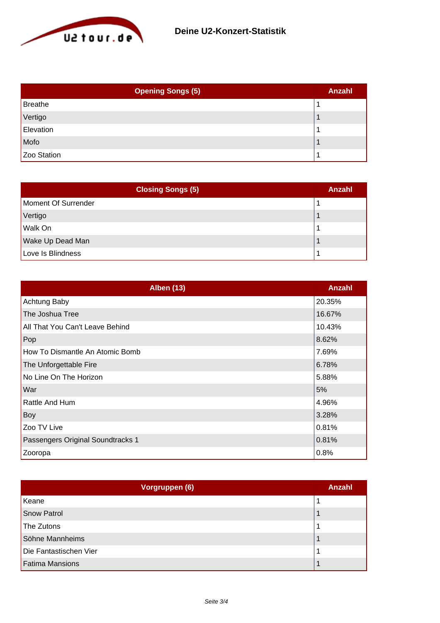

| <b>Opening Songs (5)</b> | <b>Anzahl</b> |
|--------------------------|---------------|
| <b>Breathe</b>           |               |
| Vertigo                  |               |
| Elevation                |               |
| Mofo                     |               |
| Zoo Station              |               |

| <b>Closing Songs (5)</b> | Anzahl |
|--------------------------|--------|
| Moment Of Surrender      |        |
| Vertigo                  |        |
| Walk On                  |        |
| Wake Up Dead Man         |        |
| Love Is Blindness        |        |

| <b>Alben (13)</b>                 | <b>Anzahl</b> |
|-----------------------------------|---------------|
| Achtung Baby                      | 20.35%        |
| The Joshua Tree                   | 16.67%        |
| All That You Can't Leave Behind   | 10.43%        |
| Pop                               | 8.62%         |
| How To Dismantle An Atomic Bomb   | 7.69%         |
| The Unforgettable Fire            | 6.78%         |
| No Line On The Horizon            | 5.88%         |
| War                               | 5%            |
| Rattle And Hum                    | 4.96%         |
| Boy                               | 3.28%         |
| Zoo TV Live                       | 0.81%         |
| Passengers Original Soundtracks 1 | 0.81%         |
| Zooropa                           | 0.8%          |

| Vorgruppen (6)         | <b>Anzahl</b> |
|------------------------|---------------|
| Keane                  |               |
| <b>Snow Patrol</b>     |               |
| The Zutons             |               |
| Söhne Mannheims        |               |
| Die Fantastischen Vier |               |
| <b>Fatima Mansions</b> |               |